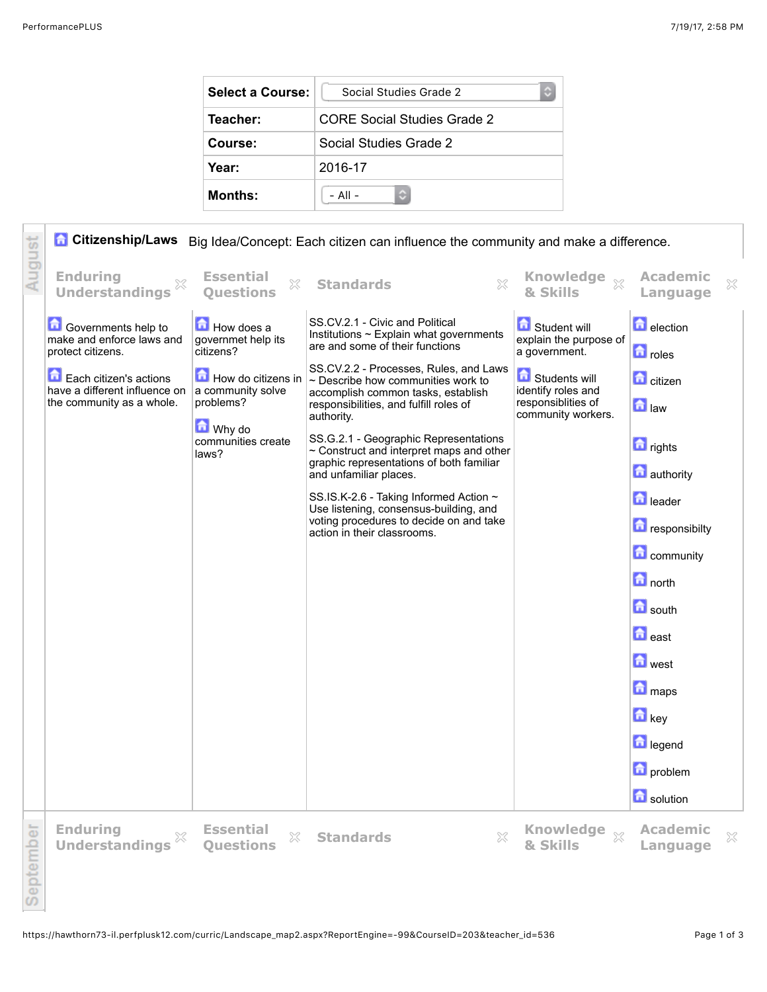| Select a Course: | Social Studies Grade 2      |  |  |
|------------------|-----------------------------|--|--|
| Teacher:         | CORE Social Studies Grade 2 |  |  |
| Course:          | Social Studies Grade 2      |  |  |
| Year:            | 2016-17                     |  |  |
| <b>Months:</b>   | $-$ All $-$                 |  |  |

|           |                                                                                      |                                                      | <b>Citizenship/Laws</b> Big Idea/Concept: Each citizen can influence the community and make a difference.                                                                       |                                                                                          |                                             |
|-----------|--------------------------------------------------------------------------------------|------------------------------------------------------|---------------------------------------------------------------------------------------------------------------------------------------------------------------------------------|------------------------------------------------------------------------------------------|---------------------------------------------|
| August    | <b>Enduring</b><br><b>Understandings</b>                                             | <b>Essential</b><br>X<br><b>Ouestions</b>            | 83<br><b>Standards</b>                                                                                                                                                          | & Skills                                                                                 | <b>Academic</b><br>×<br>Language            |
|           | <b>Governments help to</b><br>make and enforce laws and<br>protect citizens.         | How does a<br>governmet help its<br>citizens?        | SS.CV.2.1 - Civic and Political<br>Institutions $\sim$ Explain what governments<br>are and some of their functions                                                              | Student will<br>explain the purpose of<br>a government.                                  | <b>D</b> election<br><b>n</b> roles         |
|           | Each citizen's actions<br>have a different influence on<br>the community as a whole. | How do citizens in<br>a community solve<br>problems? | SS.CV.2.2 - Processes, Rules, and Laws<br>$\sim$ Describe how communities work to<br>accomplish common tasks, establish<br>responsibilities, and fulfill roles of<br>authority. | <b>G</b> Students will<br>identify roles and<br>responsiblities of<br>community workers. | <b>n</b> citizen<br>$\blacksquare$ law      |
|           |                                                                                      | Why do<br>communities create<br>laws?                | SS.G.2.1 - Geographic Representations<br>~ Construct and interpret maps and other<br>graphic representations of both familiar<br>and unfamiliar places.                         |                                                                                          | <b>n</b> rights<br><b>n</b> authority       |
|           |                                                                                      |                                                      | SS.IS.K-2.6 - Taking Informed Action ~<br>Use listening, consensus-building, and<br>voting procedures to decide on and take<br>action in their classrooms.                      |                                                                                          | <b>n</b> leader<br>responsibilty            |
|           |                                                                                      |                                                      |                                                                                                                                                                                 |                                                                                          | <b>n</b> community                          |
|           |                                                                                      |                                                      |                                                                                                                                                                                 |                                                                                          | $\boxed{\bullet}$ north                     |
|           |                                                                                      |                                                      |                                                                                                                                                                                 |                                                                                          | <b>n</b> south                              |
|           |                                                                                      |                                                      |                                                                                                                                                                                 |                                                                                          | $\blacksquare$ east                         |
|           |                                                                                      |                                                      |                                                                                                                                                                                 |                                                                                          | <b>n</b> west                               |
|           |                                                                                      |                                                      |                                                                                                                                                                                 |                                                                                          | <b>n</b> maps                               |
|           |                                                                                      |                                                      |                                                                                                                                                                                 |                                                                                          | <b>h</b> key                                |
|           |                                                                                      |                                                      |                                                                                                                                                                                 |                                                                                          | la legend                                   |
|           |                                                                                      |                                                      |                                                                                                                                                                                 |                                                                                          | <b>n</b> problem                            |
|           |                                                                                      |                                                      |                                                                                                                                                                                 |                                                                                          | solution                                    |
| September | <b>Enduring</b><br>X<br><b>Understandings</b>                                        | <b>Essential</b><br>$\gtrsim$<br><b>Questions</b>    | X<br><b>Standards</b>                                                                                                                                                           | Knowledge xx<br>& Skills                                                                 | <b>Academic</b><br>$\mathbb{X}$<br>Language |
|           |                                                                                      |                                                      |                                                                                                                                                                                 |                                                                                          |                                             |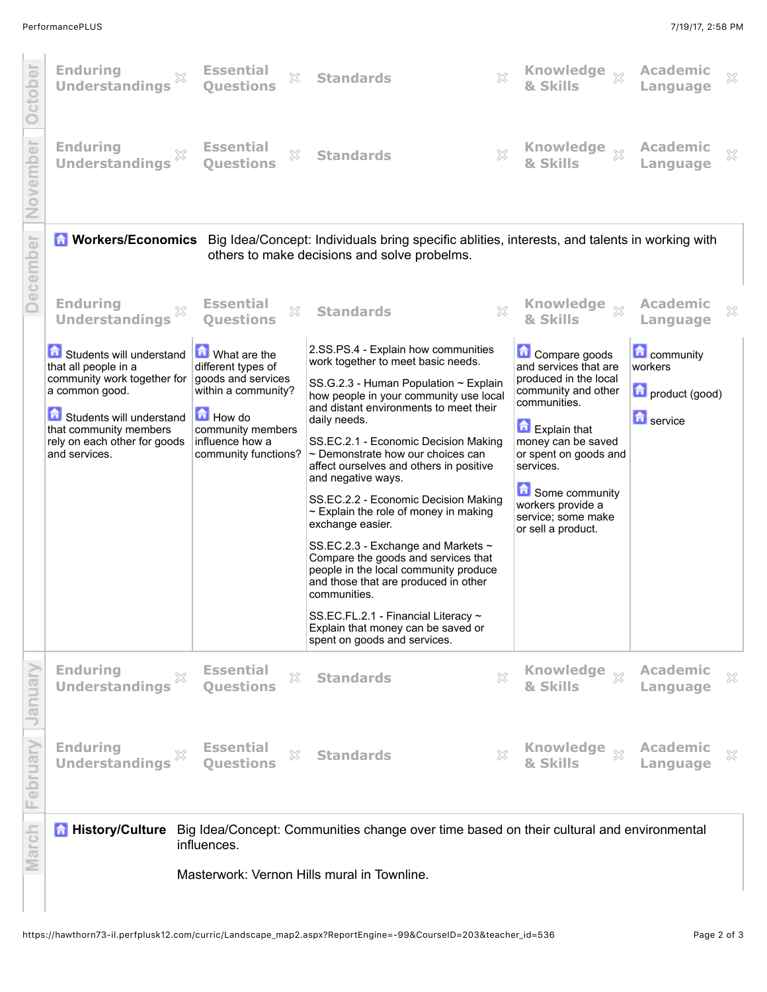| October         | <b>Enduring</b><br>X<br><b>Understandings</b>                                                       | <b>Essential</b><br>X<br><b>Ouestions</b>                                       | <b>Standards</b>                                                                                                                                                                    | X | Knowledge xx                                                                             | Academic<br>Language                          | X                          |
|-----------------|-----------------------------------------------------------------------------------------------------|---------------------------------------------------------------------------------|-------------------------------------------------------------------------------------------------------------------------------------------------------------------------------------|---|------------------------------------------------------------------------------------------|-----------------------------------------------|----------------------------|
| November        | <b>Enduring</b><br><b>Understandings</b>                                                            | <b>Essential</b><br>$\mathbb{X}$<br><b>Ouestions</b>                            | <b>Standards</b>                                                                                                                                                                    | × | Knowledge xx<br>& Skills                                                                 | <b>Academic</b><br>Language                   | ×                          |
| <b>December</b> |                                                                                                     |                                                                                 | <b>A Workers/Economics</b> Big Idea/Concept: Individuals bring specific ablities, interests, and talents in working with<br>others to make decisions and solve probelms.            |   |                                                                                          |                                               |                            |
|                 | <b>Enduring</b><br>X<br><b>Understandings</b>                                                       | <b>Essential</b><br>$\mathbb{S}^2$<br><b>Ouestions</b>                          | <b>Standards</b>                                                                                                                                                                    | X | <b>Knowledge</b><br>$\chi$<br>& Skills                                                   | <b>Academic</b><br>Language                   | ×                          |
|                 | Students will understand<br>that all people in a<br>community work together for<br>a common good.   | What are the<br>different types of<br>goods and services<br>within a community? | 2.SS.PS.4 - Explain how communities<br>work together to meet basic needs.<br>SS.G.2.3 - Human Population $\sim$ Explain<br>how people in your community use local                   |   | Compare goods<br>and services that are<br>produced in the local<br>community and other   | <b>Community</b><br>workers<br>product (good) |                            |
|                 | Students will understand<br>that community members<br>rely on each other for goods<br>and services. | <b>How do</b><br>community members<br>influence how a<br>community functions?   | and distant environments to meet their<br>daily needs.<br>SS.EC.2.1 - Economic Decision Making<br>$\sim$ Demonstrate how our choices can<br>affect ourselves and others in positive |   | communities.<br>Explain that<br>money can be saved<br>or spent on goods and<br>services. | <b>n</b> service                              |                            |
|                 |                                                                                                     |                                                                                 | and negative ways.<br>SS.EC.2.2 - Economic Decision Making<br>$\sim$ Explain the role of money in making<br>exchange easier.                                                        |   | Some community<br>workers provide a<br>service; some make<br>or sell a product.          |                                               |                            |
|                 |                                                                                                     |                                                                                 | SS.EC.2.3 - Exchange and Markets ~<br>Compare the goods and services that<br>people in the local community produce<br>and those that are produced in other<br>communities.          |   |                                                                                          |                                               |                            |
|                 |                                                                                                     |                                                                                 | SS.EC.FL.2.1 - Financial Literacy ~<br>Explain that money can be saved or<br>spent on goods and services.                                                                           |   |                                                                                          |                                               |                            |
| January         | <b>Enduring</b><br>×<br><b>Understandings</b>                                                       | <b>Essential</b><br>X<br><b>Questions</b>                                       | <b>Standards</b>                                                                                                                                                                    | × | <b>Knowledge</b><br>$\chi$<br>& Skills                                                   | <b>Academic</b><br>Language                   | $\boldsymbol{\mathcal{Z}}$ |
| February        | <b>Enduring</b><br>×<br><b>Understandings</b>                                                       | <b>Essential</b><br>$\mathbb{X}$<br><b>Questions</b>                            | <b>Standards</b>                                                                                                                                                                    | X | & Skills                                                                                 | <b>Academic</b><br>Language                   | ×                          |
| March           | <b>History/Culture</b>                                                                              | influences.                                                                     | Big Idea/Concept: Communities change over time based on their cultural and environmental                                                                                            |   |                                                                                          |                                               |                            |
|                 |                                                                                                     |                                                                                 | Masterwork: Vernon Hills mural in Townline.                                                                                                                                         |   |                                                                                          |                                               |                            |